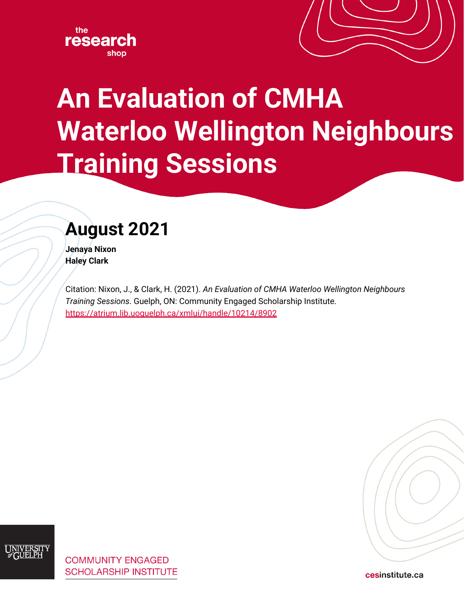



# **An Evaluation of CMHA Waterloo Wellington Neighbours Training Sessions**

# **August 2021**

**Jenaya Nixon Haley Clark**

Citation: Nixon, J., & Clark, H. (2021). *An Evaluation of CMHA Waterloo Wellington Neighbours Training Sessions*. Guelph, ON: [Community Engaged Scholarship Institute.](http://www.cesinstitute.ca/) <https://atrium.lib.uoguelph.ca/xmlui/handle/10214/8902>



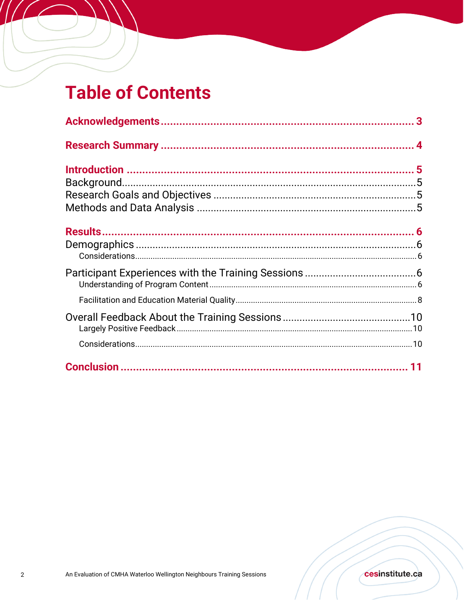# **Table of Contents**

 $^{\prime}$  /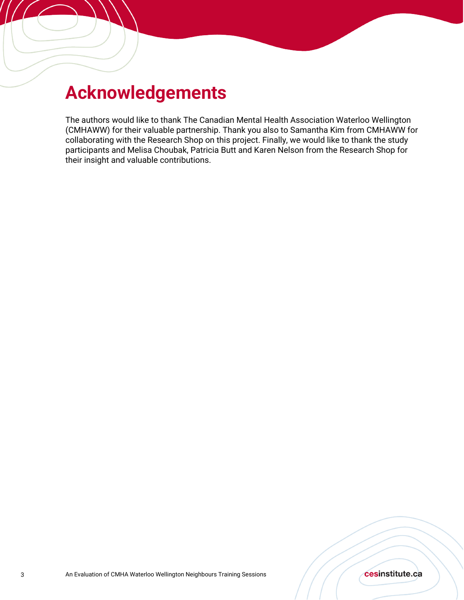# **Acknowledgements**

The authors would like to thank The Canadian Mental Health Association Waterloo Wellington (CMHAWW) for their valuable partnership. Thank you also to Samantha Kim from CMHAWW for collaborating with the Research Shop on this project. Finally, we would like to thank the study participants and Melisa Choubak, Patricia Butt and Karen Nelson from the Research Shop for their insight and valuable contributions.

#### cesinstitute.ca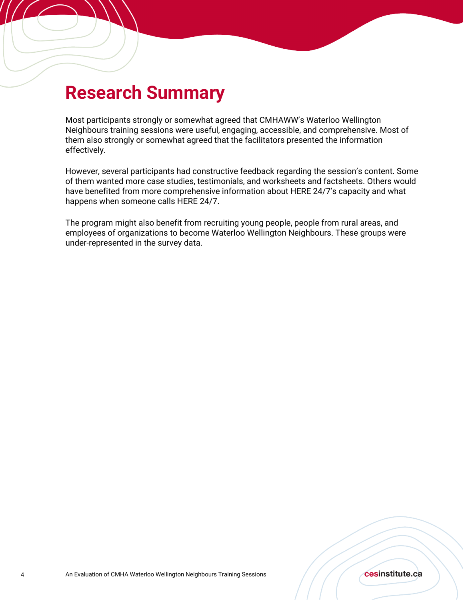## **Research Summary**

Most participants strongly or somewhat agreed that CMHAWW's Waterloo Wellington Neighbours training sessions were useful, engaging, accessible, and comprehensive. Most of them also strongly or somewhat agreed that the facilitators presented the information effectively.

However, several participants had constructive feedback regarding the session's content. Some of them wanted more case studies, testimonials, and worksheets and factsheets. Others would have benefited from more comprehensive information about HERE 24/7's capacity and what happens when someone calls HERE 24/7.

The program might also benefit from recruiting young people, people from rural areas, and employees of organizations to become Waterloo Wellington Neighbours. These groups were under-represented in the survey data.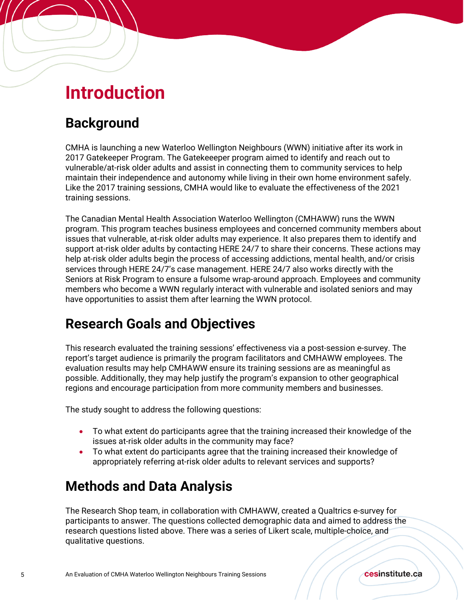## **Introduction**

### **Background**

CMHA is launching a new Waterloo Wellington Neighbours (WWN) initiative after its work in 2017 Gatekeeper Program. The Gatekeeeper program aimed to identify and reach out to vulnerable/at-risk older adults and assist in connecting them to community services to help maintain their independence and autonomy while living in their own home environment safely. Like the 2017 training sessions, CMHA would like to evaluate the effectiveness of the 2021 training sessions.

The Canadian Mental Health Association Waterloo Wellington (CMHAWW) runs the WWN program. This program teaches business employees and concerned community members about issues that vulnerable, at-risk older adults may experience. It also prepares them to identify and support at-risk older adults by contacting HERE 24/7 to share their concerns. These actions may help at-risk older adults begin the process of accessing addictions, mental health, and/or crisis services through HERE 24/7's case management. HERE 24/7 also works directly with the Seniors at Risk Program to ensure a fulsome wrap-around approach. Employees and community members who become a WWN regularly interact with vulnerable and isolated seniors and may have opportunities to assist them after learning the WWN protocol.

### **Research Goals and Objectives**

This research evaluated the training sessions' effectiveness via a post-session e-survey. The report's target audience is primarily the program facilitators and CMHAWW employees. The evaluation results may help CMHAWW ensure its training sessions are as meaningful as possible. Additionally, they may help justify the program's expansion to other geographical regions and encourage participation from more community members and businesses.

The study sought to address the following questions:

- To what extent do participants agree that the training increased their knowledge of the issues at-risk older adults in the community may face?
- To what extent do participants agree that the training increased their knowledge of appropriately referring at-risk older adults to relevant services and supports?

### **Methods and Data Analysis**

The Research Shop team, in collaboration with CMHAWW, created a Qualtrics e-survey for participants to answer. The questions collected demographic data and aimed to address the research questions listed above. There was a series of Likert scale, multiple-choice, and qualitative questions.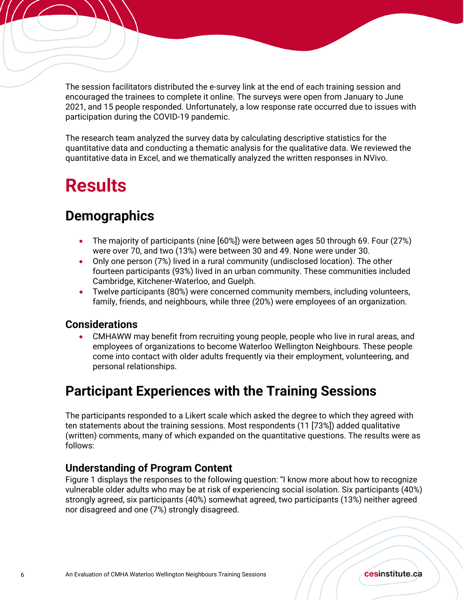The session facilitators distributed the e-survey link at the end of each training session and encouraged the trainees to complete it online. The surveys were open from January to June 2021, and 15 people responded. Unfortunately, a low response rate occurred due to issues with participation during the COVID-19 pandemic.

The research team analyzed the survey data by calculating descriptive statistics for the quantitative data and conducting a thematic analysis for the qualitative data. We reviewed the quantitative data in Excel, and we thematically analyzed the written responses in NVivo.

# **Results**

### **Demographics**

- The majority of participants (nine [60%]) were between ages 50 through 69. Four (27%) were over 70, and two (13%) were between 30 and 49. None were under 30.
- Only one person (7%) lived in a rural community (undisclosed location). The other fourteen participants (93%) lived in an urban community. These communities included Cambridge, Kitchener-Waterloo, and Guelph.
- Twelve participants (80%) were concerned community members, including volunteers, family, friends, and neighbours, while three (20%) were employees of an organization.

#### **Considerations**

• CMHAWW may benefit from recruiting young people, people who live in rural areas, and employees of organizations to become Waterloo Wellington Neighbours. These people come into contact with older adults frequently via their employment, volunteering, and personal relationships.

### **Participant Experiences with the Training Sessions**

The participants responded to a Likert scale which asked the degree to which they agreed with ten statements about the training sessions. Most respondents (11 [73%]) added qualitative (written) comments, many of which expanded on the quantitative questions. The results were as follows:

#### **Understanding of Program Content**

Figure 1 displays the responses to the following question: "I know more about how to recognize vulnerable older adults who may be at risk of experiencing social isolation. Six participants (40%) strongly agreed, six participants (40%) somewhat agreed, two participants (13%) neither agreed nor disagreed and one (7%) strongly disagreed.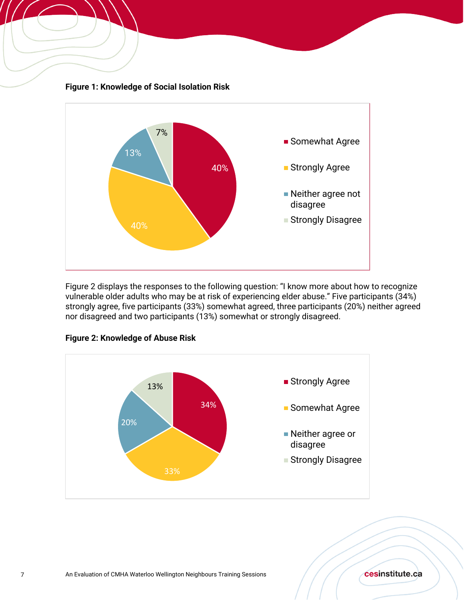

Figure 2 displays the responses to the following question: "I know more about how to recognize vulnerable older adults who may be at risk of experiencing elder abuse." Five participants (34%) strongly agree, five participants (33%) somewhat agreed, three participants (20%) neither agreed nor disagreed and two participants (13%) somewhat or strongly disagreed.



#### **Figure 2: Knowledge of Abuse Risk**

**Figure 1: Knowledge of Social Isolation Risk** 

#### cesinstitute.ca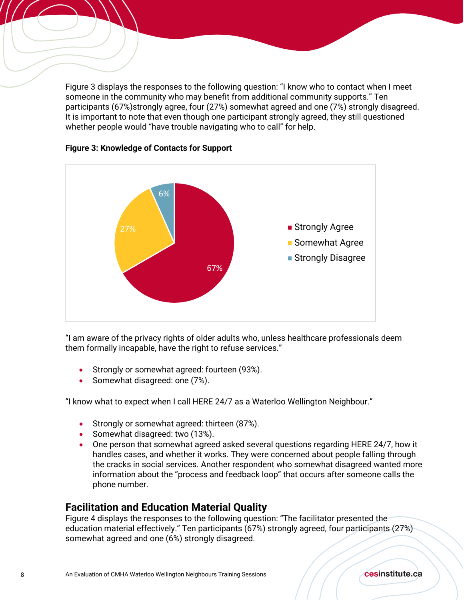Figure 3 displays the responses to the following question: "I know who to contact when I meet someone in the community who may benefit from additional community supports." Ten participants (67%)strongly agree, four (27%) somewhat agreed and one (7%) strongly disagreed. It is important to note that even though one participant strongly agreed, they still questioned whether people would "have trouble navigating who to call" for help.



#### **Figure 3: Knowledge of Contacts for Support**

"I am aware of the privacy rights of older adults who, unless healthcare professionals deem them formally incapable, have the right to refuse services."

- Strongly or somewhat agreed: fourteen (93%).
- Somewhat disagreed: one (7%).

"I know what to expect when I call HERE 24/7 as a Waterloo Wellington Neighbour."

- Strongly or somewhat agreed: thirteen (87%).
- Somewhat disagreed: two (13%).
- One person that somewhat agreed asked several questions regarding HERE 24/7, how it handles cases, and whether it works. They were concerned about people falling through the cracks in social services. Another respondent who somewhat disagreed wanted more information about the "process and feedback loop" that occurs after someone calls the phone number.

#### **Facilitation and Education Material Quality**

Figure 4 displays the responses to the following question: "The facilitator presented the education material effectively." Ten participants (67%) strongly agreed, four participants (27%) somewhat agreed and one (6%) strongly disagreed.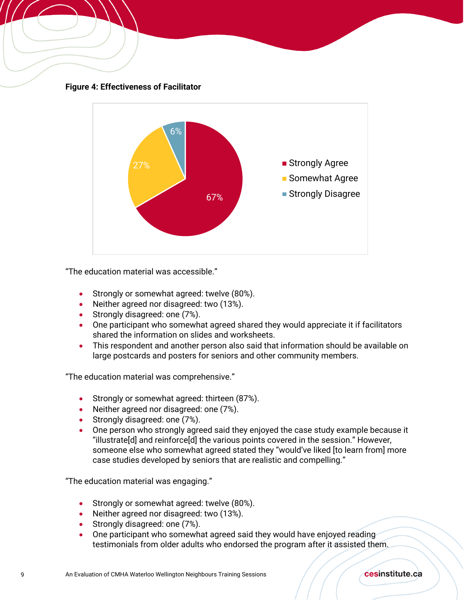



"The education material was accessible."

- Strongly or somewhat agreed: twelve (80%).
- Neither agreed nor disagreed: two (13%).
- Strongly disagreed: one (7%).
- One participant who somewhat agreed shared they would appreciate it if facilitators shared the information on slides and worksheets.
- This respondent and another person also said that information should be available on large postcards and posters for seniors and other community members.

"The education material was comprehensive."

- Strongly or somewhat agreed: thirteen (87%).
- Neither agreed nor disagreed: one (7%).
- Strongly disagreed: one (7%).
- One person who strongly agreed said they enjoyed the case study example because it "illustrate[d] and reinforce[d] the various points covered in the session." However, someone else who somewhat agreed stated they "would've liked [to learn from] more case studies developed by seniors that are realistic and compelling."

"The education material was engaging."

- Strongly or somewhat agreed: twelve (80%).
- Neither agreed nor disagreed: two (13%).
- Strongly disagreed: one (7%).
- One participant who somewhat agreed said they would have enjoyed reading testimonials from older adults who endorsed the program after it assisted them.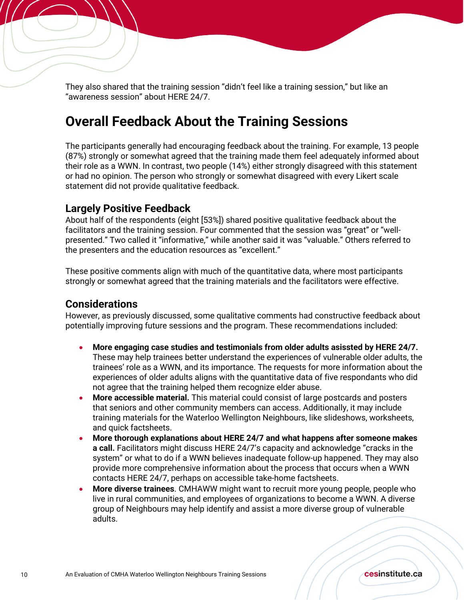They also shared that the training session "didn't feel like a training session," but like an "awareness session" about HERE 24/7.

### **Overall Feedback About the Training Sessions**

The participants generally had encouraging feedback about the training. For example, 13 people (87%) strongly or somewhat agreed that the training made them feel adequately informed about their role as a WWN. In contrast, two people (14%) either strongly disagreed with this statement or had no opinion. The person who strongly or somewhat disagreed with every Likert scale statement did not provide qualitative feedback.

#### **Largely Positive Feedback**

About half of the respondents (eight [53%]) shared positive qualitative feedback about the facilitators and the training session. Four commented that the session was "great" or "wellpresented." Two called it "informative," while another said it was "valuable." Others referred to the presenters and the education resources as "excellent."

These positive comments align with much of the quantitative data, where most participants strongly or somewhat agreed that the training materials and the facilitators were effective.

#### **Considerations**

However, as previously discussed, some qualitative comments had constructive feedback about potentially improving future sessions and the program. These recommendations included:

- **More engaging case studies and testimonials from older adults asissted by HERE 24/7.**  These may help trainees better understand the experiences of vulnerable older adults, the trainees' role as a WWN, and its importance. The requests for more information about the experiences of older adults aligns with the quantitative data of five respondants who did not agree that the training helped them recognize elder abuse.
- **More accessible material.** This material could consist of large postcards and posters that seniors and other community members can access. Additionally, it may include training materials for the Waterloo Wellington Neighbours, like slideshows, worksheets, and quick factsheets.
- **More thorough explanations about HERE 24/7 and what happens after someone makes a call.** Facilitators might discuss HERE 24/7's capacity and acknowledge "cracks in the system" or what to do if a WWN believes inadequate follow-up happened. They may also provide more comprehensive information about the process that occurs when a WWN contacts HERE 24/7, perhaps on accessible take-home factsheets.
- **More diverse trainees**. CMHAWW might want to recruit more young people, people who live in rural communities, and employees of organizations to become a WWN. A diverse group of Neighbours may help identify and assist a more diverse group of vulnerable adults.